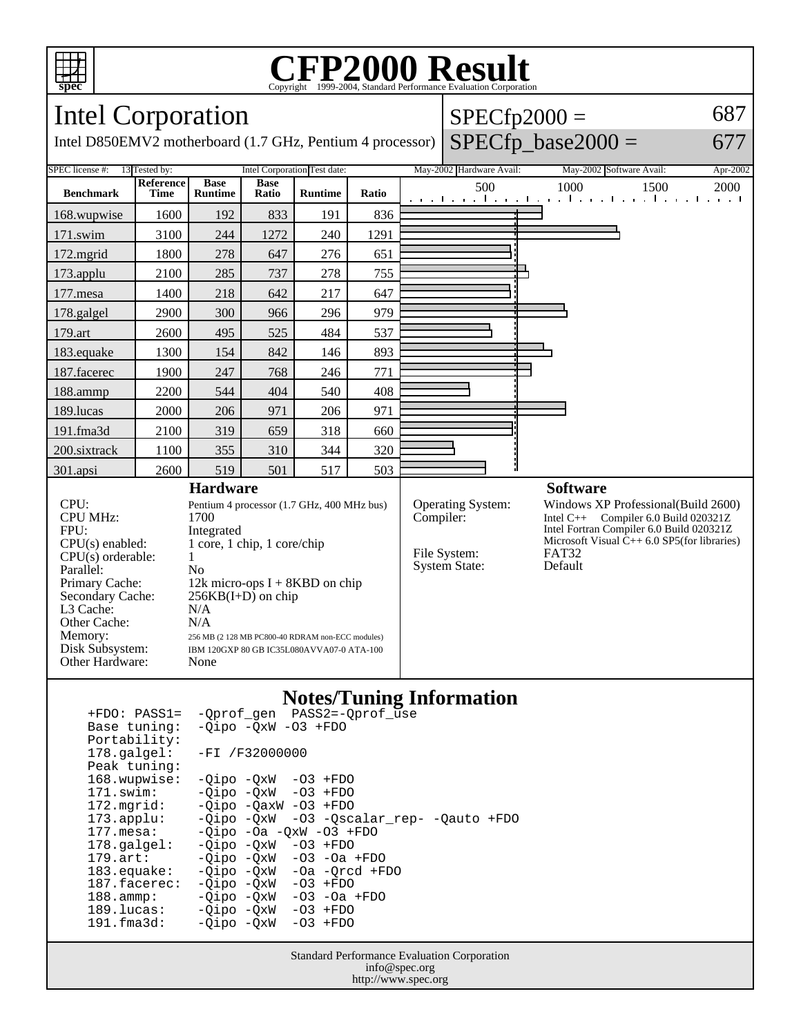

## **CFP2000 Result** Copyright ©1999-2004, Standard I

Intel Corporation

Intel D850EMV2 motherboard (1.7 GHz, Pentium 4 processor)

| $SPECfp2000 =$       | 687 |
|----------------------|-----|
| $SPECfp\_base2000 =$ | 677 |

677



| 173.applu:           |  |  | -Qipo -QxW -03 -Qscalar_rep- -Qauto +FDO |  |
|----------------------|--|--|------------------------------------------|--|
| $\sim$ $\sim$ $\sim$ |  |  |                                          |  |

 177.mesa: -Qipo -Oa -QxW -O3 +FDO 178.galgel: -Qipo -QxW -O3 +FDO

179.art: - Qipo - QxW - 03 - 0a + FDO<br>183.equake: - Qipo - QxW - 0a - Qrcd + F 183.equake: -Qipo -QxW -Oa -Qrcd +FDO<br>187.facerec: -Oipo -OxW -O3 +FDO -Qipo -QxW

 188.ammp: -Qipo -QxW -O3 -Oa +FDO 189.lucas: -Qipo -QxW -O3 +FDO -Qipo -QxW

Standard Performance Evaluation Corporation info@spec.org http://www.spec.org